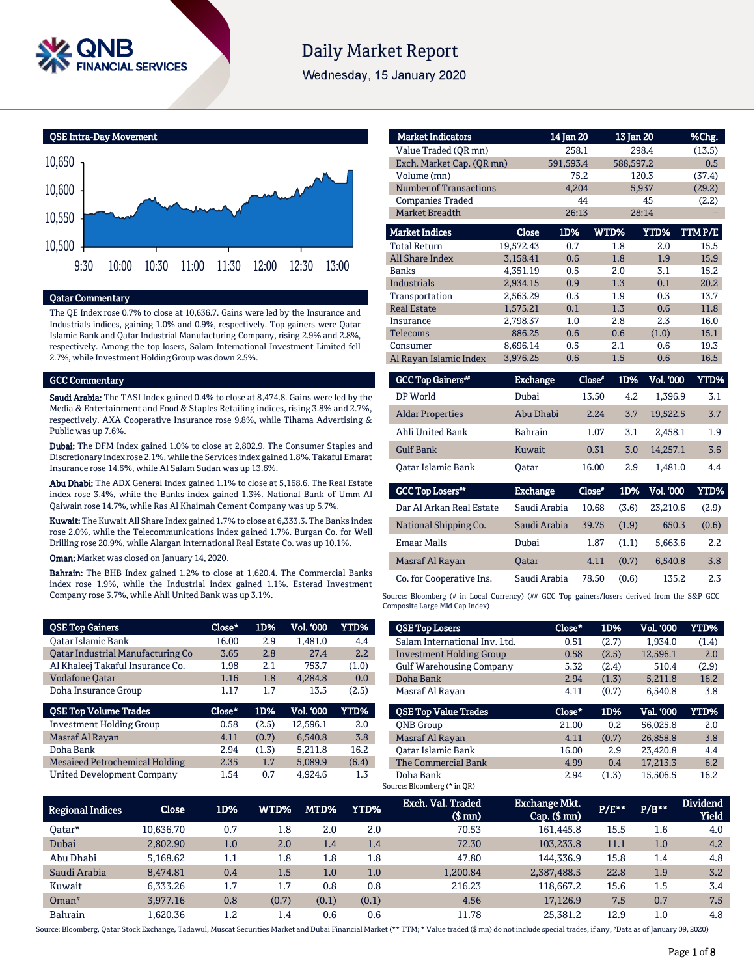

# **Daily Market Report**

Wednesday, 15 January 2020

QSE Intra-Day Movement



# Qatar Commentary

The QE Index rose 0.7% to close at 10,636.7. Gains were led by the Insurance and Industrials indices, gaining 1.0% and 0.9%, respectively. Top gainers were Qatar Islamic Bank and Qatar Industrial Manufacturing Company, rising 2.9% and 2.8%, respectively. Among the top losers, Salam International Investment Limited fell 2.7%, while Investment Holding Group was down 2.5%.

#### GCC Commentary

Saudi Arabia: The TASI Index gained 0.4% to close at 8,474.8. Gains were led by the Media & Entertainment and Food & Staples Retailing indices, rising 3.8% and 2.7%, respectively. AXA Cooperative Insurance rose 9.8%, while Tihama Advertising & Public was up 7.6%.

Dubai: The DFM Index gained 1.0% to close at 2,802.9. The Consumer Staples and Discretionary index rose 2.1%, while the Services index gained 1.8%. Takaful Emarat Insurance rose 14.6%, while Al Salam Sudan was up 13.6%.

Abu Dhabi: The ADX General Index gained 1.1% to close at 5,168.6. The Real Estate index rose 3.4%, while the Banks index gained 1.3%. National Bank of Umm Al Qaiwain rose 14.7%, while Ras Al Khaimah Cement Company was up 5.7%.

Kuwait: The Kuwait All Share Index gained 1.7% to close at 6,333.3. The Banks index rose 2.0%, while the Telecommunications index gained 1.7%. Burgan Co. for Well Drilling rose 20.9%, while Alargan International Real Estate Co. was up 10.1%.

Oman: Market was closed on January 14, 2020.

Bahrain: The BHB Index gained 1.2% to close at 1,620.4. The Commercial Banks index rose 1.9%, while the Industrial index gained 1.1%. Esterad Investment Company rose 3.7%, while Ahli United Bank was up 3.1%.

| <b>QSE Top Gainers</b>            | Close* | 1D%   | <b>Vol. '000</b> | YTD%  |
|-----------------------------------|--------|-------|------------------|-------|
| <b>Oatar Islamic Bank</b>         | 16.00  | 2.9   | 1.481.0          | 4.4   |
| Qatar Industrial Manufacturing Co | 3.65   | 2.8   | 27.4             | 2.2   |
| Al Khaleej Takaful Insurance Co.  | 1.98   | 2.1   | 753.7            | (1.0) |
| <b>Vodafone Qatar</b>             | 1.16   | 1.8   | 4.284.8          | 0.0   |
| Doha Insurance Group              | 1.17   | 1.7   | 13.5             | (2.5) |
|                                   |        |       |                  |       |
| <b>QSE Top Volume Trades</b>      | Close* | 1D%   | <b>Vol. '000</b> | YTD%  |
| <b>Investment Holding Group</b>   | 0.58   | (2.5) | 12.596.1         | 2.0   |
| Masraf Al Rayan                   | 4.11   | (0.7) | 6.540.8          | 3.8   |
| Doha Bank                         | 2.94   | (1.3) | 5.211.8          | 16.2  |
| Mesaieed Petrochemical Holding    | 2.35   | 1.7   | 5.089.9          | (6.4) |

| <b>Market Indicators</b>      |                 | 14 Jan 20 | 13 Jan 20 |           | %Chg.  |
|-------------------------------|-----------------|-----------|-----------|-----------|--------|
| Value Traded (OR mn)          |                 | 258.1     |           | 298.4     | (13.5) |
| Exch. Market Cap. (OR mn)     |                 | 591,593.4 | 588,597.2 |           | 0.5    |
| Volume (mn)                   |                 | 75.2      |           | 120.3     | (37.4) |
| <b>Number of Transactions</b> |                 | 4.204     |           | 5,937     | (29.2) |
| <b>Companies Traded</b>       |                 | 44        |           | 45        | (2.2)  |
| Market Breadth                |                 | 26:13     |           | 28:14     |        |
| <b>Market Indices</b>         | <b>Close</b>    | 1D%       | WTD%      | YTD%      | TTMP/E |
| <b>Total Return</b>           | 19,572.43       | 0.7       | 1.8       | 2.0       | 15.5   |
| All Share Index               | 3,158.41        | 0.6       | 1.8       | 1.9       | 15.9   |
| <b>Banks</b>                  | 4,351.19        | 0.5       | 2.0       | 3.1       | 15.2   |
| <b>Industrials</b>            | 2,934.15        | 0.9       | 1.3       | 0.1       | 20.2   |
| Transportation                | 2,563.29        | 0.3       | 1.9       | 0.3       | 13.7   |
| <b>Real Estate</b>            | 1,575.21        | 0.1       | 1.3       | 0.6       | 11.8   |
| Insurance                     | 2,798.37        | 1.0       | 2.8       | 2.3       | 16.0   |
| <b>Telecoms</b>               | 886.25          | 0.6       | 0.6       | (1.0)     | 15.1   |
| Consumer                      | 8.696.14        | 0.5       | 2.1       | 0.6       | 19.3   |
| Al Rayan Islamic Index        | 3,976.25        | 0.6       | 1.5       | 0.6       | 16.5   |
| <b>GCC Top Gainers**</b>      | <b>Exchange</b> | $Close*$  | 1D%       | Vol. '000 | YTD%   |
| DP World                      | Dubai           | 13.50     | 4.2       | 1,396.9   | 3.1    |
| <b>Aldar Properties</b>       | Abu Dhabi       | 2.24      | 3.7       | 19,522.5  | 3.7    |
| Ahli United Bank              | <b>Bahrain</b>  | 1.07      | 3.1       | 2,458.1   | 1.9    |
| <b>Gulf Bank</b>              | Kuwait          | 0.31      | 3.0       | 14,257.1  | 3.6    |
| <b>Oatar Islamic Bank</b>     | Oatar           | 16.00     | 2.9       | 1.481.0   | 4.4    |
| <b>GCC Top Losers**</b>       | <b>Exchange</b> | Close*    | 1D%       | Vol. '000 | YTD%   |
| Dar Al Arkan Real Estate      | Saudi Arabia    | 10.68     | (3.6)     | 23,210.6  | (2.9)  |
| National Shipping Co.         | Saudi Arabia    | 39.75     | (1.9)     | 650.3     | (0.6)  |

| National Shipping Co.    | Saudi Arabia | 39.75 | (1.9) | 650.3   | (0.6) |
|--------------------------|--------------|-------|-------|---------|-------|
|                          |              |       |       |         |       |
| Emaar Malls              | Dubai        | 1.87  | (1.1) | 5.663.6 | 2.2   |
|                          |              |       |       |         |       |
|                          |              |       |       |         |       |
| Masraf Al Rayan          | <b>Oatar</b> | 4.11  | (0.7) | 6.540.8 | 3.8   |
|                          |              |       |       |         |       |
| Co. for Cooperative Ins. | Saudi Arabia | 78.50 | (0.6) | 135.2   | 2.3   |

Source: Bloomberg (# in Local Currency) (## GCC Top gainers/losers derived from the S&P GCC Composite Large Mid Cap Index)

| <b>QSE Top Losers</b>           | Close* | 1D%   | Vol. '000 | YTD%  |
|---------------------------------|--------|-------|-----------|-------|
| Salam International Inv. Ltd.   | 0.51   | (2.7) | 1.934.0   | (1.4) |
| <b>Investment Holding Group</b> | 0.58   | (2.5) | 12.596.1  | 2.0   |
| <b>Gulf Warehousing Company</b> | 5.32   | (2.4) | 510.4     | (2.9) |
| Doha Bank                       | 2.94   | (1.3) | 5.211.8   | 16.2  |
| Masraf Al Rayan                 | 4.11   | (0.7) | 6.540.8   | 3.8   |
|                                 |        |       |           |       |
| <b>OSE Top Value Trades</b>     | Close* | 1D%   | Val. '000 | YTD%  |
| <b>ONB</b> Group                | 21.00  | 0.2   | 56.025.8  | 2.0   |
| Masraf Al Rayan                 | 4.11   | (0.7) | 26.858.8  | 3.8   |
| <b>Oatar Islamic Bank</b>       | 16.00  | 2.9   | 23.420.8  | 4.4   |
| The Commercial Bank             | 4.99   | 0.4   | 17.213.3  | 6.2   |

| <b>Regional Indices</b> | Close     | 1D% | WTD%    | MTD%    | YTD%  | Exch. Val. Traded<br>$$$ mm $)$ | <b>Exchange Mkt.</b><br>$Cap.$ (\$ mn) | $P/E***$ | $P/B***$ | <b>Dividend</b><br><b>Yield</b> |
|-------------------------|-----------|-----|---------|---------|-------|---------------------------------|----------------------------------------|----------|----------|---------------------------------|
| Oatar*                  | 10.636.70 | 0.7 | $1.8\,$ | 2.0     | 2.0   | 70.53                           | 161.445.8                              | 15.5     | 1.6      | 4.0                             |
| Dubai                   | 2,802.90  | 1.0 | 2.0     | 1.4     | 1.4   | 72.30                           | 103.233.8                              | 11.1     | 1.0      | 4.2                             |
| Abu Dhabi               | 5.168.62  | 1.1 | 1.8     | $1.8\,$ | 1.8   | 47.80                           | 144.336.9                              | 15.8     | 1.4      | 4.8                             |
| Saudi Arabia            | 8.474.81  | 0.4 | 1.5     | 1.0     | 1.0   | 1,200.84                        | 2,387,488.5                            | 22.8     | 1.9      | 3.2                             |
| Kuwait                  | 6.333.26  | 1.7 | 1.7     | 0.8     | 0.8   | 216.23                          | 118,667.2                              | 15.6     | 1.5      | 3.4                             |
| $Omega^*$               | 3.977.16  | 0.8 | (0.7)   | (0.1)   | (0.1) | 4.56                            | 17.126.9                               | 7.5      | 0.7      | 7.5                             |
| <b>Bahrain</b>          | 1.620.36  | 1.2 | 1.4     | 0.6     | 0.6   | 11.78                           | 25.381.2                               | 12.9     | $1.0\,$  | 4.8                             |

Source: Bloomberg, Qatar Stock Exchange, Tadawul, Muscat Securities Market and Dubai Financial Market (\*\* TTM; \* Value traded (\$ mn) do not include special trades, if any, #Data as of January 09, 2020)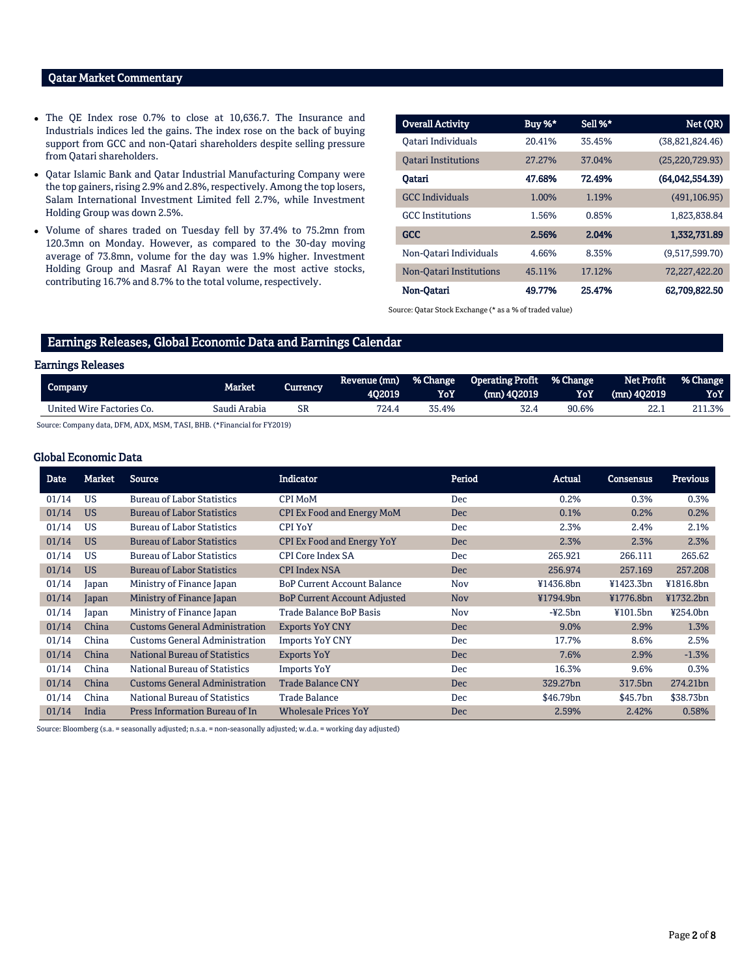# Qatar Market Commentary

- The QE Index rose 0.7% to close at 10,636.7. The Insurance and Industrials indices led the gains. The index rose on the back of buying support from GCC and non-Qatari shareholders despite selling pressure from Qatari shareholders.
- Qatar Islamic Bank and Qatar Industrial Manufacturing Company were the top gainers, rising 2.9% and 2.8%, respectively. Among the top losers, Salam International Investment Limited fell 2.7%, while Investment Holding Group was down 2.5%.
- Volume of shares traded on Tuesday fell by 37.4% to 75.2mn from 120.3mn on Monday. However, as compared to the 30-day moving average of 73.8mn, volume for the day was 1.9% higher. Investment Holding Group and Masraf Al Rayan were the most active stocks, contributing 16.7% and 8.7% to the total volume, respectively.

| <b>Overall Activity</b>    | Buy $%^*$ | Sell %* | Net (QR)          |
|----------------------------|-----------|---------|-------------------|
| Oatari Individuals         | 20.41%    | 35.45%  | (38,821,824.46)   |
| <b>Oatari Institutions</b> | 27.27%    | 37.04%  | (25, 220, 729.93) |
| Oatari                     | 47.68%    | 72.49%  | (64,042,554.39)   |
| <b>GCC</b> Individuals     | 1.00%     | 1.19%   | (491.106.95)      |
| <b>GCC</b> Institutions    | 1.56%     | 0.85%   | 1.823.838.84      |
| <b>GCC</b>                 | 2.56%     | 2.04%   | 1,332,731.89      |
| Non-Qatari Individuals     | 4.66%     | 8.35%   | (9,517,599.70)    |
| Non-Oatari Institutions    | 45.11%    | 17.12%  | 72,227,422.20     |
| Non-Qatari                 | 49.77%    | 25.47%  | 62.709,822.50     |

Source: Qatar Stock Exchange (\* as a % of traded value)

# Earnings Releases, Global Economic Data and Earnings Calendar

## Earnings Releases

| Company                   | <b>Market</b> | Currency. | Revenue (mn)<br>402019 | <b>% Change</b><br>YoY | Operating Profit % Change<br>$(mn)$ 402019 | YoY   | Net Profit<br>(mn) 402019 | % Change<br>YoY |
|---------------------------|---------------|-----------|------------------------|------------------------|--------------------------------------------|-------|---------------------------|-----------------|
| United Wire Factories Co. | Saudi Arabia  | SR        | 724.4                  | 35.4%                  |                                            | 90.6% |                           | .3%             |

Source: Company data, DFM, ADX, MSM, TASI, BHB. (\*Financial for FY2019)

## Global Economic Data

| <b>Date</b> | Market    | <b>Source</b>                         | <b>Indicator</b>                    | Period     | Actual    | <b>Consensus</b>     | <b>Previous</b> |
|-------------|-----------|---------------------------------------|-------------------------------------|------------|-----------|----------------------|-----------------|
| 01/14       | <b>US</b> | <b>Bureau of Labor Statistics</b>     | <b>CPI MoM</b>                      | Dec        | 0.2%      | 0.3%                 | 0.3%            |
| 01/14       | <b>US</b> | <b>Bureau of Labor Statistics</b>     | <b>CPI Ex Food and Energy MoM</b>   | <b>Dec</b> | 0.1%      | 0.2%                 | 0.2%            |
| 01/14       | <b>US</b> | <b>Bureau of Labor Statistics</b>     | <b>CPI YoY</b>                      | <b>Dec</b> | 2.3%      | 2.4%                 | 2.1%            |
| 01/14       | <b>US</b> | <b>Bureau of Labor Statistics</b>     | CPI Ex Food and Energy YoY          | <b>Dec</b> | 2.3%      | 2.3%                 | 2.3%            |
| 01/14       | <b>US</b> | <b>Bureau of Labor Statistics</b>     | CPI Core Index SA                   | Dec        | 265.921   | 266.111              | 265.62          |
| 01/14       | <b>US</b> | <b>Bureau of Labor Statistics</b>     | <b>CPI Index NSA</b>                | <b>Dec</b> | 256.974   | 257.169              | 257.208         |
| 01/14       | Japan     | Ministry of Finance Japan             | <b>BoP Current Account Balance</b>  | Nov        | ¥1436.8bn | ¥1423.3bn            | ¥1816.8bn       |
| 01/14       | Japan     | Ministry of Finance Japan             | <b>BoP Current Account Adjusted</b> | <b>Nov</b> | ¥1794.9bn | ¥1776.8bn            | ¥1732.2bn       |
| 01/14       | Japan     | Ministry of Finance Japan             | Trade Balance BoP Basis             | Nov        | $-42.5bn$ | ¥101.5bn             | ¥254.0bn        |
| 01/14       | China     | <b>Customs General Administration</b> | <b>Exports YoY CNY</b>              | <b>Dec</b> | 9.0%      | 2.9%                 | 1.3%            |
| 01/14       | China     | <b>Customs General Administration</b> | <b>Imports YoY CNY</b>              | Dec        | 17.7%     | 8.6%                 | 2.5%            |
| 01/14       | China     | <b>National Bureau of Statistics</b>  | Exports YoY                         | <b>Dec</b> | 7.6%      | 2.9%                 | $-1.3%$         |
| 01/14       | China     | National Bureau of Statistics         | <b>Imports YoY</b>                  | Dec        | 16.3%     | 9.6%                 | 0.3%            |
| 01/14       | China     | <b>Customs General Administration</b> | <b>Trade Balance CNY</b>            | <b>Dec</b> | 329.27bn  | 317.5bn              | 274.21bn        |
| 01/14       | China     | National Bureau of Statistics         | Trade Balance                       | <b>Dec</b> | \$46.79bn | \$45.7 <sub>bn</sub> | \$38.73bn       |
| 01/14       | India     | Press Information Bureau of In        | <b>Wholesale Prices YoY</b>         | <b>Dec</b> | 2.59%     | 2.42%                | 0.58%           |

Source: Bloomberg (s.a. = seasonally adjusted; n.s.a. = non-seasonally adjusted; w.d.a. = working day adjusted)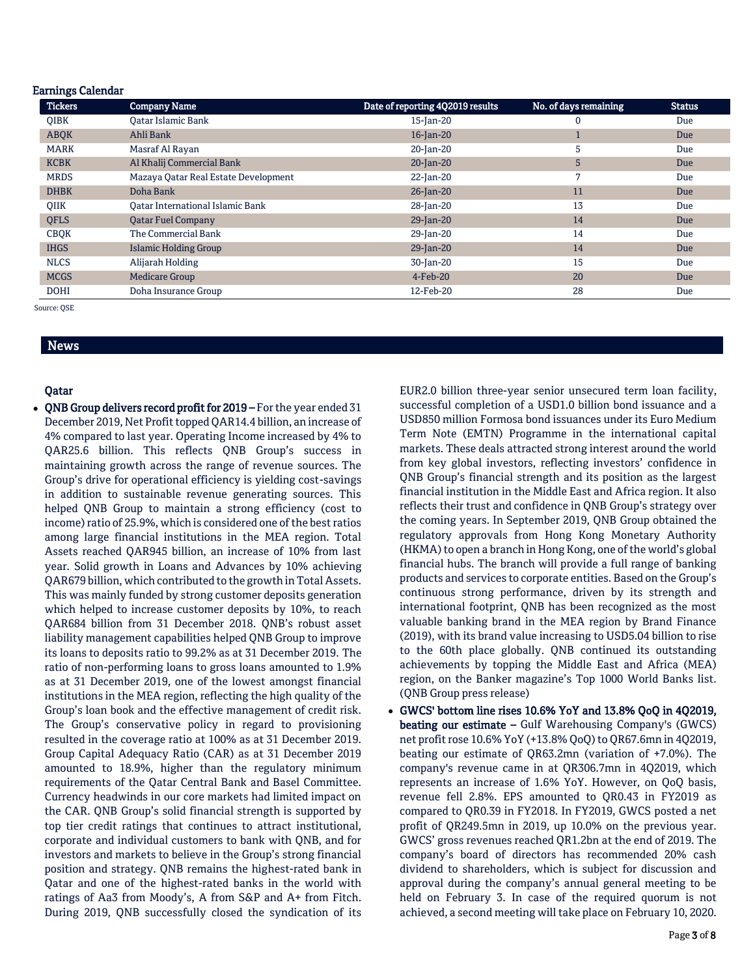#### Earnings Calendar

| <b>Tickers</b> | <b>Company Name</b>                     | Date of reporting 4Q2019 results | No. of days remaining | <b>Status</b> |
|----------------|-----------------------------------------|----------------------------------|-----------------------|---------------|
| <b>OIBK</b>    | Oatar Islamic Bank                      | 15-Jan-20                        | 0                     | Due           |
| <b>ABOK</b>    | Ahli Bank                               | 16-Jan-20                        |                       | Due           |
| <b>MARK</b>    | Masraf Al Rayan                         | 20-Jan-20                        | 5                     | Due           |
| <b>KCBK</b>    | Al Khalij Commercial Bank               | $20$ -Jan-20                     | 5                     | Due           |
| <b>MRDS</b>    | Mazaya Qatar Real Estate Development    | 22-Jan-20                        | 7                     | Due           |
| <b>DHBK</b>    | Doha Bank                               | $26$ -Jan-20                     | 11                    | Due           |
| <b>OIIK</b>    | <b>Qatar International Islamic Bank</b> | 28-Jan-20                        | 13                    | Due           |
| <b>QFLS</b>    | <b>Qatar Fuel Company</b>               | $29$ -Jan-20                     | 14                    | Due           |
| <b>CBOK</b>    | The Commercial Bank                     | 29-Jan-20                        | 14                    | Due           |
| <b>IHGS</b>    | <b>Islamic Holding Group</b>            | $29$ -Jan-20                     | 14                    | Due           |
| <b>NLCS</b>    | Alijarah Holding                        | 30-Jan-20                        | 15                    | Due           |
| <b>MCGS</b>    | <b>Medicare Group</b>                   | $4$ -Feb-20                      | 20                    | Due           |
| <b>DOHI</b>    | Doha Insurance Group                    | 12-Feb-20                        | 28                    | Due           |

Source: QSE

# News

### Qatar

 QNB Group delivers record profit for 2019 – For the year ended 31 December 2019, Net Profit topped QAR14.4 billion, an increase of 4% compared to last year. Operating Income increased by 4% to QAR25.6 billion. This reflects QNB Group's success in maintaining growth across the range of revenue sources. The Group's drive for operational efficiency is yielding cost-savings in addition to sustainable revenue generating sources. This helped QNB Group to maintain a strong efficiency (cost to income) ratio of 25.9%, which is considered one of the best ratios among large financial institutions in the MEA region. Total Assets reached QAR945 billion, an increase of 10% from last year. Solid growth in Loans and Advances by 10% achieving QAR679 billion, which contributed to the growth in Total Assets. This was mainly funded by strong customer deposits generation which helped to increase customer deposits by 10%, to reach QAR684 billion from 31 December 2018. QNB's robust asset liability management capabilities helped QNB Group to improve its loans to deposits ratio to 99.2% as at 31 December 2019. The ratio of non-performing loans to gross loans amounted to 1.9% as at 31 December 2019, one of the lowest amongst financial institutions in the MEA region, reflecting the high quality of the Group's loan book and the effective management of credit risk. The Group's conservative policy in regard to provisioning resulted in the coverage ratio at 100% as at 31 December 2019. Group Capital Adequacy Ratio (CAR) as at 31 December 2019 amounted to 18.9%, higher than the regulatory minimum requirements of the Qatar Central Bank and Basel Committee. Currency headwinds in our core markets had limited impact on the CAR. QNB Group's solid financial strength is supported by top tier credit ratings that continues to attract institutional, corporate and individual customers to bank with QNB, and for investors and markets to believe in the Group's strong financial position and strategy. QNB remains the highest-rated bank in Qatar and one of the highest-rated banks in the world with ratings of Aa3 from Moody's, A from S&P and A+ from Fitch. During 2019, QNB successfully closed the syndication of its

EUR2.0 billion three-year senior unsecured term loan facility, successful completion of a USD1.0 billion bond issuance and a USD850 million Formosa bond issuances under its Euro Medium Term Note (EMTN) Programme in the international capital markets. These deals attracted strong interest around the world from key global investors, reflecting investors' confidence in QNB Group's financial strength and its position as the largest financial institution in the Middle East and Africa region. It also reflects their trust and confidence in QNB Group's strategy over the coming years. In September 2019, QNB Group obtained the regulatory approvals from Hong Kong Monetary Authority (HKMA) to open a branch in Hong Kong, one of the world's global financial hubs. The branch will provide a full range of banking products and services to corporate entities. Based on the Group's continuous strong performance, driven by its strength and international footprint, QNB has been recognized as the most valuable banking brand in the MEA region by Brand Finance (2019), with its brand value increasing to USD5.04 billion to rise to the 60th place globally. QNB continued its outstanding achievements by topping the Middle East and Africa (MEA) region, on the Banker magazine's Top 1000 World Banks list. (QNB Group press release)

 GWCS' bottom line rises 10.6% YoY and 13.8% QoQ in 4Q2019, beating our estimate – Gulf Warehousing Company's (GWCS) net profit rose 10.6% YoY (+13.8% QoQ) to QR67.6mn in 4Q2019, beating our estimate of QR63.2mn (variation of +7.0%). The company's revenue came in at QR306.7mn in 4Q2019, which represents an increase of 1.6% YoY. However, on QoQ basis, revenue fell 2.8%. EPS amounted to QR0.43 in FY2019 as compared to QR0.39 in FY2018. In FY2019, GWCS posted a net profit of QR249.5mn in 2019, up 10.0% on the previous year. GWCS' gross revenues reached QR1.2bn at the end of 2019. The company's board of directors has recommended 20% cash dividend to shareholders, which is subject for discussion and approval during the company's annual general meeting to be held on February 3. In case of the required quorum is not achieved, a second meeting will take place on February 10, 2020.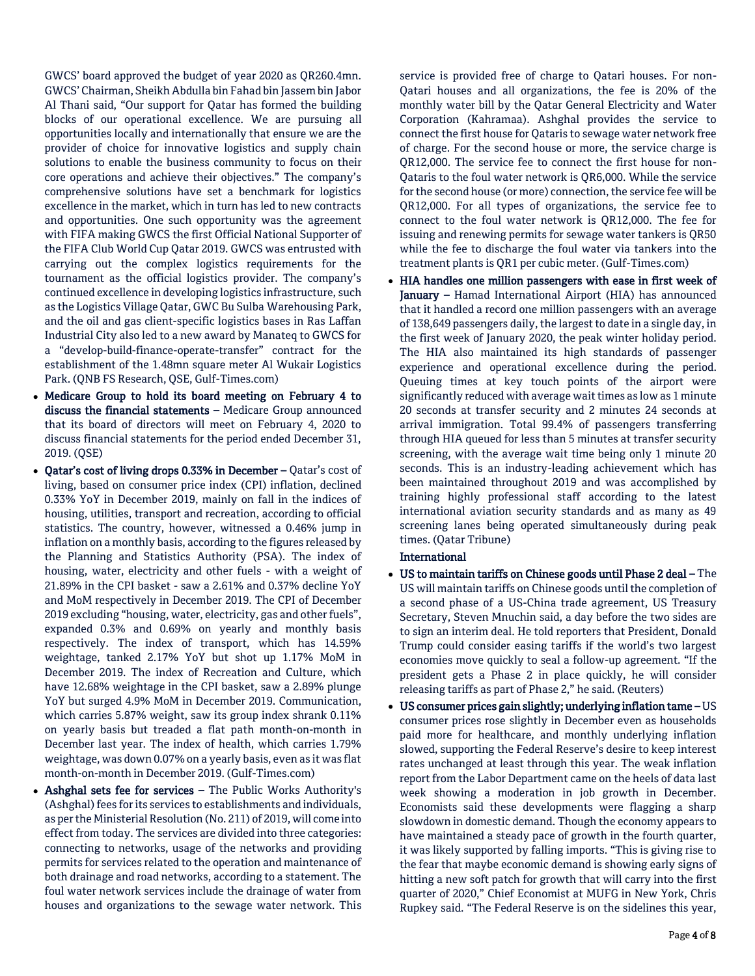GWCS' board approved the budget of year 2020 as QR260.4mn. GWCS' Chairman, Sheikh Abdulla bin Fahad bin Jassem bin Jabor Al Thani said, "Our support for Qatar has formed the building blocks of our operational excellence. We are pursuing all opportunities locally and internationally that ensure we are the provider of choice for innovative logistics and supply chain solutions to enable the business community to focus on their core operations and achieve their objectives." The company's comprehensive solutions have set a benchmark for logistics excellence in the market, which in turn has led to new contracts and opportunities. One such opportunity was the agreement with FIFA making GWCS the first Official National Supporter of the FIFA Club World Cup Qatar 2019. GWCS was entrusted with carrying out the complex logistics requirements for the tournament as the official logistics provider. The company's continued excellence in developing logistics infrastructure, such as the Logistics Village Qatar, GWC Bu Sulba Warehousing Park, and the oil and gas client-specific logistics bases in Ras Laffan Industrial City also led to a new award by Manateq to GWCS for a "develop-build-finance-operate-transfer" contract for the establishment of the 1.48mn square meter Al Wukair Logistics Park. (QNB FS Research, QSE, Gulf-Times.com)

- Medicare Group to hold its board meeting on February 4 to discuss the financial statements – Medicare Group announced that its board of directors will meet on February 4, 2020 to discuss financial statements for the period ended December 31, 2019. (QSE)
- Qatar's cost of living drops 0.33% in December Qatar's cost of living, based on consumer price index (CPI) inflation, declined 0.33% YoY in December 2019, mainly on fall in the indices of housing, utilities, transport and recreation, according to official statistics. The country, however, witnessed a 0.46% jump in inflation on a monthly basis, according to the figures released by the Planning and Statistics Authority (PSA). The index of housing, water, electricity and other fuels - with a weight of 21.89% in the CPI basket - saw a 2.61% and 0.37% decline YoY and MoM respectively in December 2019. The CPI of December 2019 excluding "housing, water, electricity, gas and other fuels", expanded 0.3% and 0.69% on yearly and monthly basis respectively. The index of transport, which has 14.59% weightage, tanked 2.17% YoY but shot up 1.17% MoM in December 2019. The index of Recreation and Culture, which have 12.68% weightage in the CPI basket, saw a 2.89% plunge YoY but surged 4.9% MoM in December 2019. Communication, which carries 5.87% weight, saw its group index shrank 0.11% on yearly basis but treaded a flat path month-on-month in December last year. The index of health, which carries 1.79% weightage, was down 0.07% on a yearly basis, even as it was flat month-on-month in December 2019. (Gulf-Times.com)
- Ashghal sets fee for services The Public Works Authority's (Ashghal) fees for its services to establishments and individuals, as per the Ministerial Resolution (No. 211) of 2019, will come into effect from today. The services are divided into three categories: connecting to networks, usage of the networks and providing permits for services related to the operation and maintenance of both drainage and road networks, according to a statement. The foul water network services include the drainage of water from houses and organizations to the sewage water network. This

service is provided free of charge to Qatari houses. For non-Qatari houses and all organizations, the fee is 20% of the monthly water bill by the Qatar General Electricity and Water Corporation (Kahramaa). Ashghal provides the service to connect the first house for Qataris to sewage water network free of charge. For the second house or more, the service charge is QR12,000. The service fee to connect the first house for non-Qataris to the foul water network is QR6,000. While the service for the second house (or more) connection, the service fee will be QR12,000. For all types of organizations, the service fee to connect to the foul water network is QR12,000. The fee for issuing and renewing permits for sewage water tankers is QR50 while the fee to discharge the foul water via tankers into the treatment plants is QR1 per cubic meter. (Gulf-Times.com)

 HIA handles one million passengers with ease in first week of January – Hamad International Airport (HIA) has announced that it handled a record one million passengers with an average of 138,649 passengers daily, the largest to date in a single day, in the first week of January 2020, the peak winter holiday period. The HIA also maintained its high standards of passenger experience and operational excellence during the period. Queuing times at key touch points of the airport were significantly reduced with average wait times as low as 1 minute 20 seconds at transfer security and 2 minutes 24 seconds at arrival immigration. Total 99.4% of passengers transferring through HIA queued for less than 5 minutes at transfer security screening, with the average wait time being only 1 minute 20 seconds. This is an industry-leading achievement which has been maintained throughout 2019 and was accomplished by training highly professional staff according to the latest international aviation security standards and as many as 49 screening lanes being operated simultaneously during peak times. (Qatar Tribune)

# International

- US to maintain tariffs on Chinese goods until Phase 2 deal The US will maintain tariffs on Chinese goods until the completion of a second phase of a US-China trade agreement, US Treasury Secretary, Steven Mnuchin said, a day before the two sides are to sign an interim deal. He told reporters that President, Donald Trump could consider easing tariffs if the world's two largest economies move quickly to seal a follow-up agreement. "If the president gets a Phase 2 in place quickly, he will consider releasing tariffs as part of Phase 2," he said. (Reuters)
- US consumer prices gain slightly; underlying inflation tame US consumer prices rose slightly in December even as households paid more for healthcare, and monthly underlying inflation slowed, supporting the Federal Reserve's desire to keep interest rates unchanged at least through this year. The weak inflation report from the Labor Department came on the heels of data last week showing a moderation in job growth in December. Economists said these developments were flagging a sharp slowdown in domestic demand. Though the economy appears to have maintained a steady pace of growth in the fourth quarter, it was likely supported by falling imports. "This is giving rise to the fear that maybe economic demand is showing early signs of hitting a new soft patch for growth that will carry into the first quarter of 2020," Chief Economist at MUFG in New York, Chris Rupkey said. "The Federal Reserve is on the sidelines this year,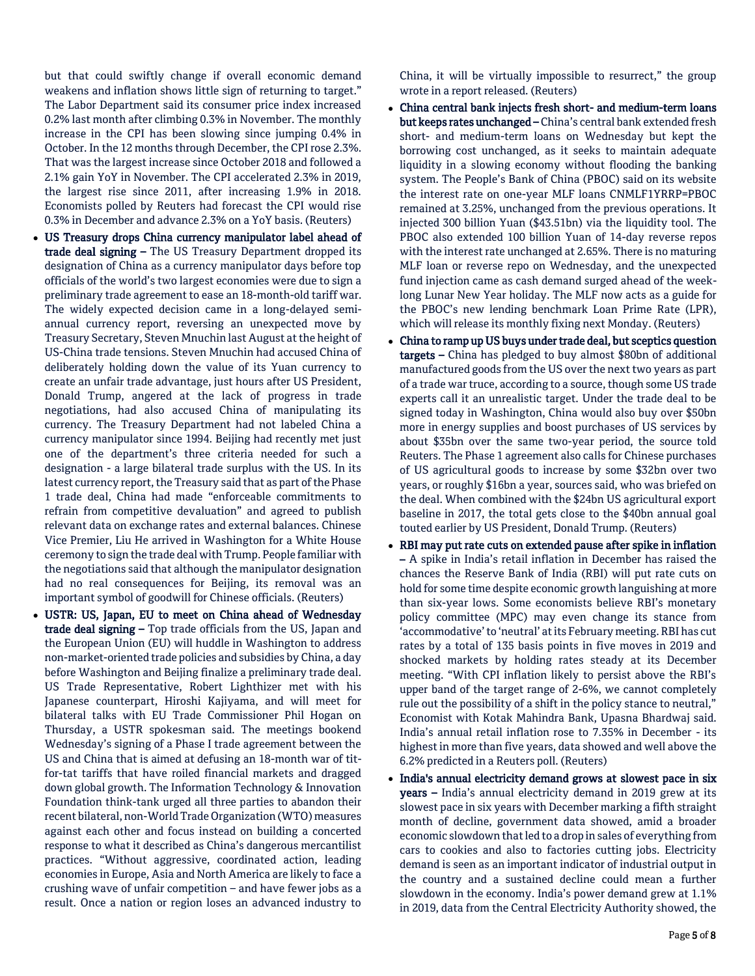but that could swiftly change if overall economic demand weakens and inflation shows little sign of returning to target." The Labor Department said its consumer price index increased 0.2% last month after climbing 0.3% in November. The monthly increase in the CPI has been slowing since jumping 0.4% in October. In the 12 months through December, the CPI rose 2.3%. That was the largest increase since October 2018 and followed a 2.1% gain YoY in November. The CPI accelerated 2.3% in 2019, the largest rise since 2011, after increasing 1.9% in 2018. Economists polled by Reuters had forecast the CPI would rise 0.3% in December and advance 2.3% on a YoY basis. (Reuters)

- US Treasury drops China currency manipulator label ahead of trade deal signing – The US Treasury Department dropped its designation of China as a currency manipulator days before top officials of the world's two largest economies were due to sign a preliminary trade agreement to ease an 18-month-old tariff war. The widely expected decision came in a long-delayed semiannual currency report, reversing an unexpected move by Treasury Secretary, Steven Mnuchin last August at the height of US-China trade tensions. Steven Mnuchin had accused China of deliberately holding down the value of its Yuan currency to create an unfair trade advantage, just hours after US President, Donald Trump, angered at the lack of progress in trade negotiations, had also accused China of manipulating its currency. The Treasury Department had not labeled China a currency manipulator since 1994. Beijing had recently met just one of the department's three criteria needed for such a designation - a large bilateral trade surplus with the US. In its latest currency report, the Treasury said that as part of the Phase 1 trade deal, China had made "enforceable commitments to refrain from competitive devaluation" and agreed to publish relevant data on exchange rates and external balances. Chinese Vice Premier, Liu He arrived in Washington for a White House ceremony to sign the trade deal with Trump. People familiar with the negotiations said that although the manipulator designation had no real consequences for Beijing, its removal was an important symbol of goodwill for Chinese officials. (Reuters)
- USTR: US, Japan, EU to meet on China ahead of Wednesday trade deal signing – Top trade officials from the US, Japan and the European Union (EU) will huddle in Washington to address non-market-oriented trade policies and subsidies by China, a day before Washington and Beijing finalize a preliminary trade deal. US Trade Representative, Robert Lighthizer met with his Japanese counterpart, Hiroshi Kajiyama, and will meet for bilateral talks with EU Trade Commissioner Phil Hogan on Thursday, a USTR spokesman said. The meetings bookend Wednesday's signing of a Phase I trade agreement between the US and China that is aimed at defusing an 18-month war of titfor-tat tariffs that have roiled financial markets and dragged down global growth. The Information Technology & Innovation Foundation think-tank urged all three parties to abandon their recent bilateral, non-World Trade Organization (WTO) measures against each other and focus instead on building a concerted response to what it described as China's dangerous mercantilist practices. "Without aggressive, coordinated action, leading economies in Europe, Asia and North America are likely to face a crushing wave of unfair competition – and have fewer jobs as a result. Once a nation or region loses an advanced industry to

China, it will be virtually impossible to resurrect," the group wrote in a report released. (Reuters)

- China central bank injects fresh short- and medium-term loans but keeps rates unchanged - China's central bank extended fresh short- and medium-term loans on Wednesday but kept the borrowing cost unchanged, as it seeks to maintain adequate liquidity in a slowing economy without flooding the banking system. The People's Bank of China (PBOC) said on its website the interest rate on one-year MLF loans CNMLF1YRRP=PBOC remained at 3.25%, unchanged from the previous operations. It injected 300 billion Yuan (\$43.51bn) via the liquidity tool. The PBOC also extended 100 billion Yuan of 14-day reverse repos with the interest rate unchanged at 2.65%. There is no maturing MLF loan or reverse repo on Wednesday, and the unexpected fund injection came as cash demand surged ahead of the weeklong Lunar New Year holiday. The MLF now acts as a guide for the PBOC's new lending benchmark Loan Prime Rate (LPR), which will release its monthly fixing next Monday. (Reuters)
- China to ramp up US buys under trade deal, but sceptics question targets – China has pledged to buy almost \$80bn of additional manufactured goods from the US over the next two years as part of a trade war truce, according to a source, though some US trade experts call it an unrealistic target. Under the trade deal to be signed today in Washington, China would also buy over \$50bn more in energy supplies and boost purchases of US services by about \$35bn over the same two-year period, the source told Reuters. The Phase 1 agreement also calls for Chinese purchases of US agricultural goods to increase by some \$32bn over two years, or roughly \$16bn a year, sources said, who was briefed on the deal. When combined with the \$24bn US agricultural export baseline in 2017, the total gets close to the \$40bn annual goal touted earlier by US President, Donald Trump. (Reuters)
- RBI may put rate cuts on extended pause after spike in inflation – A spike in India's retail inflation in December has raised the chances the Reserve Bank of India (RBI) will put rate cuts on hold for some time despite economic growth languishing at more than six-year lows. Some economists believe RBI's monetary policy committee (MPC) may even change its stance from 'accommodative' to 'neutral' at its February meeting. RBI has cut rates by a total of 135 basis points in five moves in 2019 and shocked markets by holding rates steady at its December meeting. "With CPI inflation likely to persist above the RBI's upper band of the target range of 2-6%, we cannot completely rule out the possibility of a shift in the policy stance to neutral," Economist with Kotak Mahindra Bank, Upasna Bhardwaj said. India's annual retail inflation rose to 7.35% in December - its highest in more than five years, data showed and well above the 6.2% predicted in a Reuters poll. (Reuters)
- India's annual electricity demand grows at slowest pace in six years - India's annual electricity demand in 2019 grew at its slowest pace in six years with December marking a fifth straight month of decline, government data showed, amid a broader economic slowdown that led to a drop in sales of everything from cars to cookies and also to factories cutting jobs. Electricity demand is seen as an important indicator of industrial output in the country and a sustained decline could mean a further slowdown in the economy. India's power demand grew at 1.1% in 2019, data from the Central Electricity Authority showed, the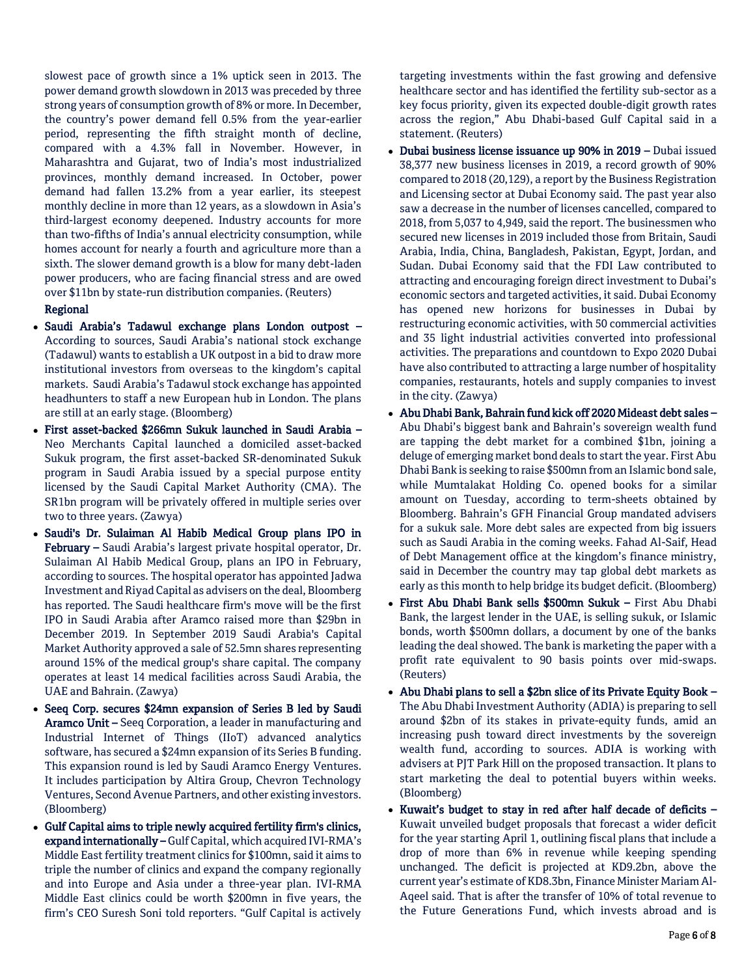slowest pace of growth since a 1% uptick seen in 2013. The power demand growth slowdown in 2013 was preceded by three strong years of consumption growth of 8% or more. In December, the country's power demand fell 0.5% from the year-earlier period, representing the fifth straight month of decline, compared with a 4.3% fall in November. However, in Maharashtra and Gujarat, two of India's most industrialized provinces, monthly demand increased. In October, power demand had fallen 13.2% from a year earlier, its steepest monthly decline in more than 12 years, as a slowdown in Asia's third-largest economy deepened. Industry accounts for more than two-fifths of India's annual electricity consumption, while homes account for nearly a fourth and agriculture more than a sixth. The slower demand growth is a blow for many debt-laden power producers, who are facing financial stress and are owed over \$11bn by state-run distribution companies. (Reuters)

# Regional

- Saudi Arabia's Tadawul exchange plans London outpost According to sources, Saudi Arabia's national stock exchange (Tadawul) wants to establish a UK outpost in a bid to draw more institutional investors from overseas to the kingdom's capital markets. Saudi Arabia's Tadawul stock exchange has appointed headhunters to staff a new European hub in London. The plans are still at an early stage. (Bloomberg)
- First asset-backed \$266mn Sukuk launched in Saudi Arabia Neo Merchants Capital launched a domiciled asset-backed Sukuk program, the first asset-backed SR-denominated Sukuk program in Saudi Arabia issued by a special purpose entity licensed by the Saudi Capital Market Authority (CMA). The SR1bn program will be privately offered in multiple series over two to three years. (Zawya)
- Saudi's Dr. Sulaiman Al Habib Medical Group plans IPO in February – Saudi Arabia's largest private hospital operator, Dr. Sulaiman Al Habib Medical Group, plans an IPO in February, according to sources. The hospital operator has appointed Jadwa Investment and Riyad Capital as advisers on the deal, Bloomberg has reported. The Saudi healthcare firm's move will be the first IPO in Saudi Arabia after Aramco raised more than \$29bn in December 2019. In September 2019 Saudi Arabia's Capital Market Authority approved a sale of 52.5mn shares representing around 15% of the medical group's share capital. The company operates at least 14 medical facilities across Saudi Arabia, the UAE and Bahrain. (Zawya)
- Seeq Corp. secures \$24mn expansion of Series B led by Saudi Aramco Unit – Seeq Corporation, a leader in manufacturing and Industrial Internet of Things (IIoT) advanced analytics software, has secured a \$24mn expansion of its Series B funding. This expansion round is led by Saudi Aramco Energy Ventures. It includes participation by Altira Group, Chevron Technology Ventures, Second Avenue Partners, and other existing investors. (Bloomberg)
- Gulf Capital aims to triple newly acquired fertility firm's clinics, expand internationally – Gulf Capital, which acquired IVI-RMA's Middle East fertility treatment clinics for \$100mn, said it aims to triple the number of clinics and expand the company regionally and into Europe and Asia under a three-year plan. IVI-RMA Middle East clinics could be worth \$200mn in five years, the firm's CEO Suresh Soni told reporters. "Gulf Capital is actively

targeting investments within the fast growing and defensive healthcare sector and has identified the fertility sub-sector as a key focus priority, given its expected double-digit growth rates across the region," Abu Dhabi-based Gulf Capital said in a statement. (Reuters)

- Dubai business license issuance up 90% in 2019 Dubai issued 38,377 new business licenses in 2019, a record growth of 90% compared to 2018 (20,129), a report by the Business Registration and Licensing sector at Dubai Economy said. The past year also saw a decrease in the number of licenses cancelled, compared to 2018, from 5,037 to 4,949, said the report. The businessmen who secured new licenses in 2019 included those from Britain, Saudi Arabia, India, China, Bangladesh, Pakistan, Egypt, Jordan, and Sudan. Dubai Economy said that the FDI Law contributed to attracting and encouraging foreign direct investment to Dubai's economic sectors and targeted activities, it said. Dubai Economy has opened new horizons for businesses in Dubai by restructuring economic activities, with 50 commercial activities and 35 light industrial activities converted into professional activities. The preparations and countdown to Expo 2020 Dubai have also contributed to attracting a large number of hospitality companies, restaurants, hotels and supply companies to invest in the city. (Zawya)
- Abu Dhabi Bank, Bahrain fund kick off 2020 Mideast debt sales Abu Dhabi's biggest bank and Bahrain's sovereign wealth fund are tapping the debt market for a combined \$1bn, joining a deluge of emerging market bond deals to start the year. First Abu Dhabi Bank is seeking to raise \$500mn from an Islamic bond sale, while Mumtalakat Holding Co. opened books for a similar amount on Tuesday, according to term-sheets obtained by Bloomberg. Bahrain's GFH Financial Group mandated advisers for a sukuk sale. More debt sales are expected from big issuers such as Saudi Arabia in the coming weeks. Fahad Al-Saif, Head of Debt Management office at the kingdom's finance ministry, said in December the country may tap global debt markets as early as this month to help bridge its budget deficit. (Bloomberg)
- First Abu Dhabi Bank sells \$500mn Sukuk First Abu Dhabi Bank, the largest lender in the UAE, is selling sukuk, or Islamic bonds, worth \$500mn dollars, a document by one of the banks leading the deal showed. The bank is marketing the paper with a profit rate equivalent to 90 basis points over mid-swaps. (Reuters)
- Abu Dhabi plans to sell a \$2bn slice of its Private Equity Book The Abu Dhabi Investment Authority (ADIA) is preparing to sell around \$2bn of its stakes in private-equity funds, amid an increasing push toward direct investments by the sovereign wealth fund, according to sources. ADIA is working with advisers at PJT Park Hill on the proposed transaction. It plans to start marketing the deal to potential buyers within weeks. (Bloomberg)
- Kuwait's budget to stay in red after half decade of deficits Kuwait unveiled budget proposals that forecast a wider deficit for the year starting April 1, outlining fiscal plans that include a drop of more than 6% in revenue while keeping spending unchanged. The deficit is projected at KD9.2bn, above the current year's estimate of KD8.3bn, Finance Minister Mariam Al-Aqeel said. That is after the transfer of 10% of total revenue to the Future Generations Fund, which invests abroad and is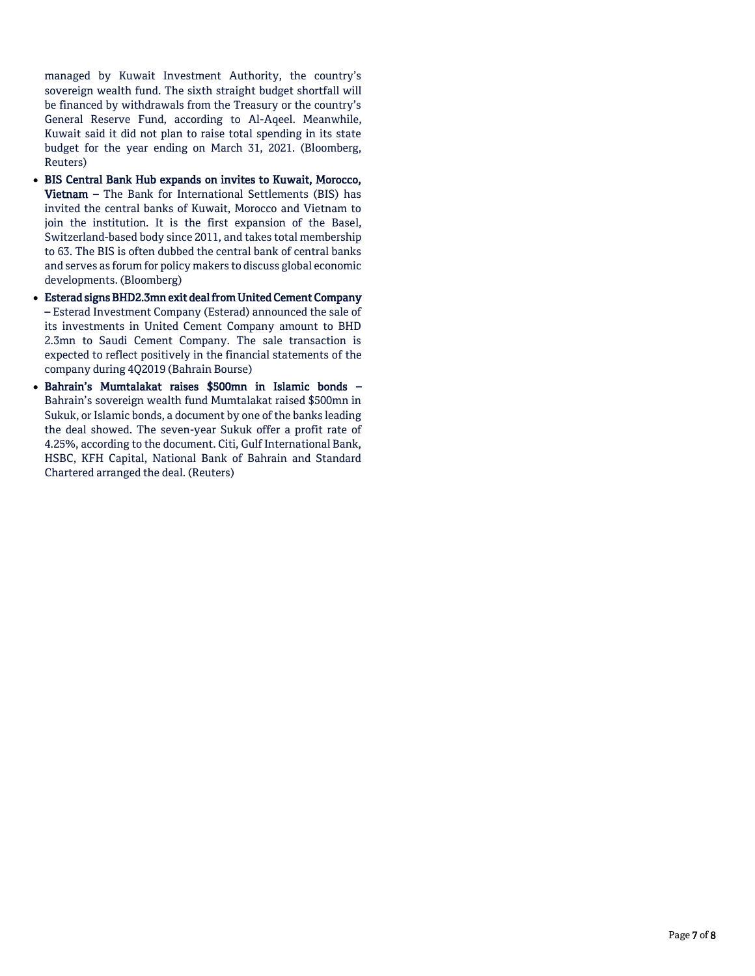managed by Kuwait Investment Authority, the country's sovereign wealth fund. The sixth straight budget shortfall will be financed by withdrawals from the Treasury or the country's General Reserve Fund, according to Al-Aqeel. Meanwhile, Kuwait said it did not plan to raise total spending in its state budget for the year ending on March 31, 2021. (Bloomberg, Reuters)

- BIS Central Bank Hub expands on invites to Kuwait, Morocco, Vietnam – The Bank for International Settlements (BIS) has invited the central banks of Kuwait, Morocco and Vietnam to join the institution. It is the first expansion of the Basel, Switzerland-based body since 2011, and takes total membership to 63. The BIS is often dubbed the central bank of central banks and serves as forum for policy makers to discuss global economic developments. (Bloomberg)
- Esterad signs BHD2.3mn exit deal from United Cement Company – Esterad Investment Company (Esterad) announced the sale of its investments in United Cement Company amount to BHD 2.3mn to Saudi Cement Company. The sale transaction is expected to reflect positively in the financial statements of the company during 4Q2019 (Bahrain Bourse)
- Bahrain's Mumtalakat raises \$500mn in Islamic bonds Bahrain's sovereign wealth fund Mumtalakat raised \$500mn in Sukuk, or Islamic bonds, a document by one of the banks leading the deal showed. The seven-year Sukuk offer a profit rate of 4.25%, according to the document. Citi, Gulf International Bank, HSBC, KFH Capital, National Bank of Bahrain and Standard Chartered arranged the deal. (Reuters)